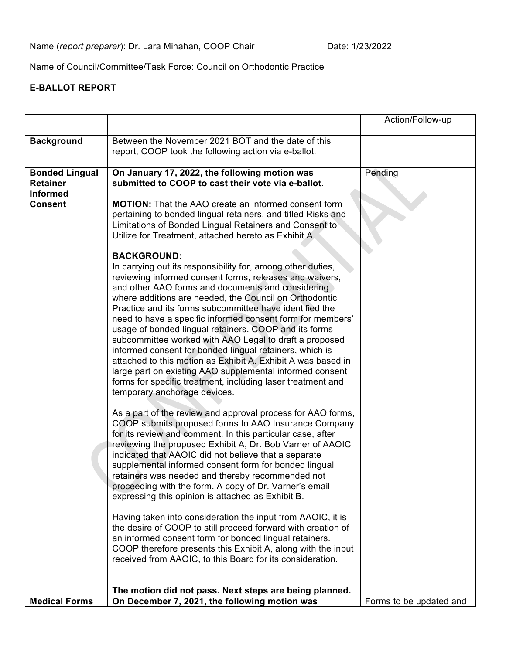Name of Council/Committee/Task Force: Council on Orthodontic Practice

## **E-BALLOT REPORT**

|                                                             |                                                                                                                                                                                                                                                                                                                                                                                                                                                                                                                                                                                                                                                                                                                                                                                                                                                                                                                                                                                                                                                                                                                                                                                                                                                                                                                                                                                                                                                                                                                                                                                                                                                                                                                                                                                                                                                                                                                                                                      | Action/Follow-up        |
|-------------------------------------------------------------|----------------------------------------------------------------------------------------------------------------------------------------------------------------------------------------------------------------------------------------------------------------------------------------------------------------------------------------------------------------------------------------------------------------------------------------------------------------------------------------------------------------------------------------------------------------------------------------------------------------------------------------------------------------------------------------------------------------------------------------------------------------------------------------------------------------------------------------------------------------------------------------------------------------------------------------------------------------------------------------------------------------------------------------------------------------------------------------------------------------------------------------------------------------------------------------------------------------------------------------------------------------------------------------------------------------------------------------------------------------------------------------------------------------------------------------------------------------------------------------------------------------------------------------------------------------------------------------------------------------------------------------------------------------------------------------------------------------------------------------------------------------------------------------------------------------------------------------------------------------------------------------------------------------------------------------------------------------------|-------------------------|
| <b>Background</b>                                           | Between the November 2021 BOT and the date of this<br>report, COOP took the following action via e-ballot.                                                                                                                                                                                                                                                                                                                                                                                                                                                                                                                                                                                                                                                                                                                                                                                                                                                                                                                                                                                                                                                                                                                                                                                                                                                                                                                                                                                                                                                                                                                                                                                                                                                                                                                                                                                                                                                           |                         |
| <b>Bonded Lingual</b><br><b>Retainer</b><br><b>Informed</b> | On January 17, 2022, the following motion was<br>submitted to COOP to cast their vote via e-ballot.                                                                                                                                                                                                                                                                                                                                                                                                                                                                                                                                                                                                                                                                                                                                                                                                                                                                                                                                                                                                                                                                                                                                                                                                                                                                                                                                                                                                                                                                                                                                                                                                                                                                                                                                                                                                                                                                  | Pending                 |
| <b>Consent</b>                                              | <b>MOTION:</b> That the AAO create an informed consent form<br>pertaining to bonded lingual retainers, and titled Risks and<br>Limitations of Bonded Lingual Retainers and Consent to<br>Utilize for Treatment, attached hereto as Exhibit A.<br><b>BACKGROUND:</b><br>In carrying out its responsibility for, among other duties,<br>reviewing informed consent forms, releases and waivers,<br>and other AAO forms and documents and considering<br>where additions are needed, the Council on Orthodontic<br>Practice and its forms subcommittee have identified the<br>need to have a specific informed consent form for members'<br>usage of bonded lingual retainers. COOP and its forms<br>subcommittee worked with AAO Legal to draft a proposed<br>informed consent for bonded lingual retainers, which is<br>attached to this motion as Exhibit A. Exhibit A was based in<br>large part on existing AAO supplemental informed consent<br>forms for specific treatment, including laser treatment and<br>temporary anchorage devices.<br>As a part of the review and approval process for AAO forms,<br>COOP submits proposed forms to AAO Insurance Company<br>for its review and comment. In this particular case, after<br>reviewing the proposed Exhibit A, Dr. Bob Varner of AAOIC<br>indicated that AAOIC did not believe that a separate<br>supplemental informed consent form for bonded lingual<br>retainers was needed and thereby recommended not<br>proceeding with the form. A copy of Dr. Varner's email<br>expressing this opinion is attached as Exhibit B.<br>Having taken into consideration the input from AAOIC, it is<br>the desire of COOP to still proceed forward with creation of<br>an informed consent form for bonded lingual retainers.<br>COOP therefore presents this Exhibit A, along with the input<br>received from AAOIC, to this Board for its consideration.<br>The motion did not pass. Next steps are being planned. |                         |
| <b>Medical Forms</b>                                        | On December 7, 2021, the following motion was                                                                                                                                                                                                                                                                                                                                                                                                                                                                                                                                                                                                                                                                                                                                                                                                                                                                                                                                                                                                                                                                                                                                                                                                                                                                                                                                                                                                                                                                                                                                                                                                                                                                                                                                                                                                                                                                                                                        | Forms to be updated and |